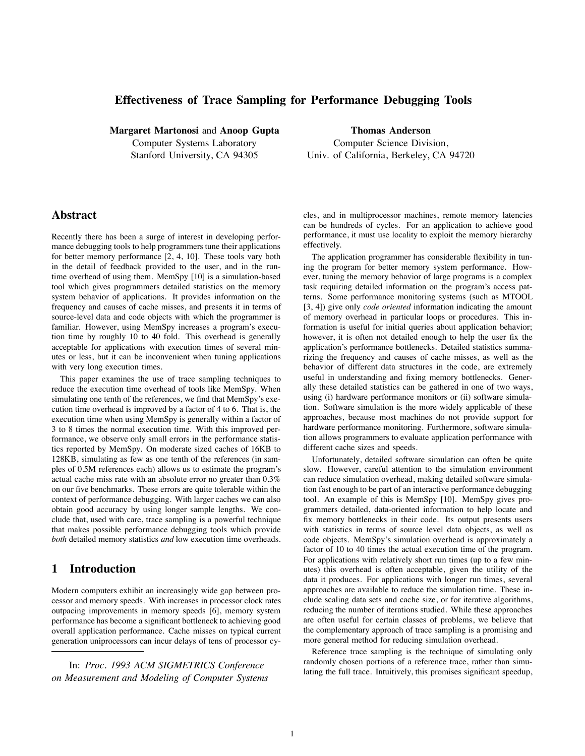## **Effectiveness of Trace Sampling for Performance Debugging Tools**

**Margaret Martonosi** and **Anoop Gupta** Computer Systems Laboratory Stanford University, CA 94305

**Thomas Anderson** Computer Science Division, Univ. of California, Berkeley, CA 94720

# **Abstract**

Recently there has been a surge of interest in developing performance debugging tools to help programmers tune their applications for better memory performance [2, 4, 10]. These tools vary both in the detail of feedback provided to the user, and in the runtime overhead of using them. MemSpy [10] is a simulation-based tool which gives programmers detailed statistics on the memory system behavior of applications. It provides information on the frequency and causes of cache misses, and presents it in terms of source-level data and code objects with which the programmer is familiar. However, using MemSpy increases a program's execution time by roughly 10 to 40 fold. This overhead is generally acceptable for applications with execution times of several minutes or less, but it can be inconvenient when tuning applications with very long execution times.

This paper examines the use of trace sampling techniques to reduce the execution time overhead of tools like MemSpy. When simulating one tenth of the references, we find that MemSpy's execution time overhead is improved by a factor of 4 to 6. That is, the execution time when using MemSpy is generally within a factor of 3 to 8 times the normal execution time. With this improved performance, we observe only small errors in the performance statistics reported by MemSpy. On moderate sized caches of 16KB to 128KB, simulating as few as one tenth of the references (in samples of 0.5M references each) allows us to estimate the program's actual cache miss rate with an absolute error no greater than 0.3% on our five benchmarks. These errors are quite tolerable within the context of performance debugging. With larger caches we can also obtain good accuracy by using longer sample lengths. We conclude that, used with care, trace sampling is a powerful technique that makes possible performance debugging tools which provide *both* detailed memory statistics *and* low execution time overheads.

# **1 Introduction**

Modern computers exhibit an increasingly wide gap between processor and memory speeds. With increases in processor clock rates outpacing improvements in memory speeds [6], memory system performance has become a significant bottleneck to achieving good overall application performance. Cache misses on typical current generation uniprocessors can incur delays of tens of processor cy-

In: *Proc. 1993 ACM SIGMETRICS Conference on Measurement and Modeling of Computer Systems* cles, and in multiprocessor machines, remote memory latencies can be hundreds of cycles. For an application to achieve good performance, it must use locality to exploit the memory hierarchy effectively.

The application programmer has considerable flexibility in tuning the program for better memory system performance. However, tuning the memory behavior of large programs is a complex task requiring detailed information on the program's access patterns. Some performance monitoring systems (such as MTOOL [3, 4]) give only *code oriented* information indicating the amount of memory overhead in particular loops or procedures. This information is useful for initial queries about application behavior; however, it is often not detailed enough to help the user fix the application's performance bottlenecks. Detailed statistics summarizing the frequency and causes of cache misses, as well as the behavior of different data structures in the code, are extremely useful in understanding and fixing memory bottlenecks. Generally these detailed statistics can be gathered in one of two ways, using (i) hardware performance monitors or (ii) software simulation. Software simulation is the more widely applicable of these approaches, because most machines do not provide support for hardware performance monitoring. Furthermore, software simulation allows programmers to evaluate application performance with different cache sizes and speeds.

Unfortunately, detailed software simulation can often be quite slow. However, careful attention to the simulation environment can reduce simulation overhead, making detailed software simulation fast enough to be part of an interactive performance debugging tool. An example of this is MemSpy [10]. MemSpy gives programmers detailed, data-oriented information to help locate and fix memory bottlenecks in their code. Its output presents users with statistics in terms of source level data objects, as well as code objects. MemSpy's simulation overhead is approximately a factor of 10 to 40 times the actual execution time of the program. For applications with relatively short run times (up to a few minutes) this overhead is often acceptable, given the utility of the data it produces. For applications with longer run times, several approaches are available to reduce the simulation time. These include scaling data sets and cache size, or for iterative algorithms, reducing the number of iterations studied. While these approaches are often useful for certain classes of problems, we believe that the complementary approach of trace sampling is a promising and more general method for reducing simulation overhead.

Reference trace sampling is the technique of simulating only randomly chosen portions of a reference trace, rather than simulating the full trace. Intuitively, this promises significant speedup,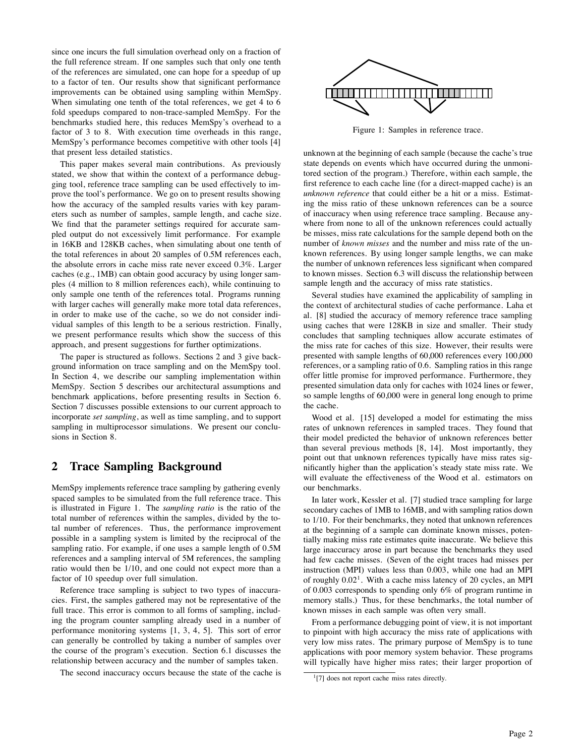since one incurs the full simulation overhead only on a fraction of the full reference stream. If one samples such that only one tenth of the references are simulated, one can hope for a speedup of up to a factor of ten. Our results show that significant performance improvements can be obtained using sampling within MemSpy. When simulating one tenth of the total references, we get 4 to 6 fold speedups compared to non-trace-sampled MemSpy. For the benchmarks studied here, this reduces MemSpy's overhead to a factor of 3 to 8. With execution time overheads in this range, MemSpy's performance becomes competitive with other tools [4] that present less detailed statistics.

This paper makes several main contributions. As previously stated, we show that within the context of a performance debugging tool, reference trace sampling can be used effectively to improve the tool's performance. We go on to present results showing how the accuracy of the sampled results varies with key parameters such as number of samples, sample length, and cache size. We find that the parameter settings required for accurate sampled output do not excessively limit performance. For example in 16KB and 128KB caches, when simulating about one tenth of the total references in about 20 samples of 0.5M references each, the absolute errors in cache miss rate never exceed 0.3%. Larger caches (e.g., 1MB) can obtain good accuracy by using longer samples (4 million to 8 million references each), while continuing to only sample one tenth of the references total. Programs running with larger caches will generally make more total data references, in order to make use of the cache, so we do not consider individual samples of this length to be a serious restriction. Finally, we present performance results which show the success of this approach, and present suggestions for further optimizations.

The paper is structured as follows. Sections 2 and 3 give background information on trace sampling and on the MemSpy tool. In Section 4, we describe our sampling implementation within MemSpy. Section 5 describes our architectural assumptions and benchmark applications, before presenting results in Section 6. Section 7 discusses possible extensions to our current approach to incorporate *set sampling*, as well as time sampling, and to support sampling in multiprocessor simulations. We present our conclusions in Section 8.

## **2 Trace Sampling Background**

MemSpy implements reference trace sampling by gathering evenly spaced samples to be simulated from the full reference trace. This is illustrated in Figure 1. The *sampling ratio* is the ratio of the total number of references within the samples, divided by the total number of references. Thus, the performance improvement possible in a sampling system is limited by the reciprocal of the sampling ratio. For example, if one uses a sample length of 0.5M references and a sampling interval of 5M references, the sampling ratio would then be 1/10, and one could not expect more than a factor of 10 speedup over full simulation.

Reference trace sampling is subject to two types of inaccuracies. First, the samples gathered may not be representative of the full trace. This error is common to all forms of sampling, including the program counter sampling already used in a number of performance monitoring systems [1, 3, 4, 5]. This sort of error can generally be controlled by taking a number of samples over the course of the program's execution. Section 6.1 discusses the relationship between accuracy and the number of samples taken.

The second inaccuracy occurs because the state of the cache is



Figure 1: Samples in reference trace.

unknown at the beginning of each sample (because the cache's true state depends on events which have occurred during the unmonitored section of the program.) Therefore, within each sample, the first reference to each cache line (for a direct-mapped cache) is an *unknown reference* that could either be a hit or a miss. Estimating the miss ratio of these unknown references can be a source of inaccuracy when using reference trace sampling. Because anywhere from none to all of the unknown references could actually be misses, miss rate calculations for the sample depend both on the number of *known misses* and the number and miss rate of the unknown references. By using longer sample lengths, we can make the number of unknown references less significant when compared to known misses. Section 6.3 will discuss the relationship between sample length and the accuracy of miss rate statistics.

Several studies have examined the applicability of sampling in the context of architectural studies of cache performance. Laha et al. [8] studied the accuracy of memory reference trace sampling using caches that were 128KB in size and smaller. Their study concludes that sampling techniques allow accurate estimates of the miss rate for caches of this size. However, their results were presented with sample lengths of 60,000 references every 100,000 references, or a sampling ratio of 0.6. Sampling ratios in this range offer little promise for improved performance. Furthermore, they presented simulation data only for caches with 1024 lines or fewer, so sample lengths of 60,000 were in general long enough to prime the cache.

Wood et al. [15] developed a model for estimating the miss rates of unknown references in sampled traces. They found that their model predicted the behavior of unknown references better than several previous methods [8, 14]. Most importantly, they point out that unknown references typically have miss rates significantly higher than the application's steady state miss rate. We will evaluate the effectiveness of the Wood et al. estimators on our benchmarks.

In later work, Kessler et al. [7] studied trace sampling for large secondary caches of 1MB to 16MB, and with sampling ratios down to 1/10. For their benchmarks, they noted that unknown references at the beginning of a sample can dominate known misses, potentially making miss rate estimates quite inaccurate. We believe this large inaccuracy arose in part because the benchmarks they used had few cache misses. (Seven of the eight traces had misses per instruction (MPI) values less than 0.003, while one had an MPI of roughly  $0.02<sup>1</sup>$ . With a cache miss latency of 20 cycles, an MPI of 0.003 corresponds to spending only 6% of program runtime in memory stalls.) Thus, for these benchmarks, the total number of known misses in each sample was often very small.

From a performance debugging point of view, it is not important to pinpoint with high accuracy the miss rate of applications with very low miss rates. The primary purpose of MemSpy is to tune applications with poor memory system behavior. These programs will typically have higher miss rates; their larger proportion of

<sup>&</sup>lt;sup>1</sup>[7] does not report cache miss rates directly.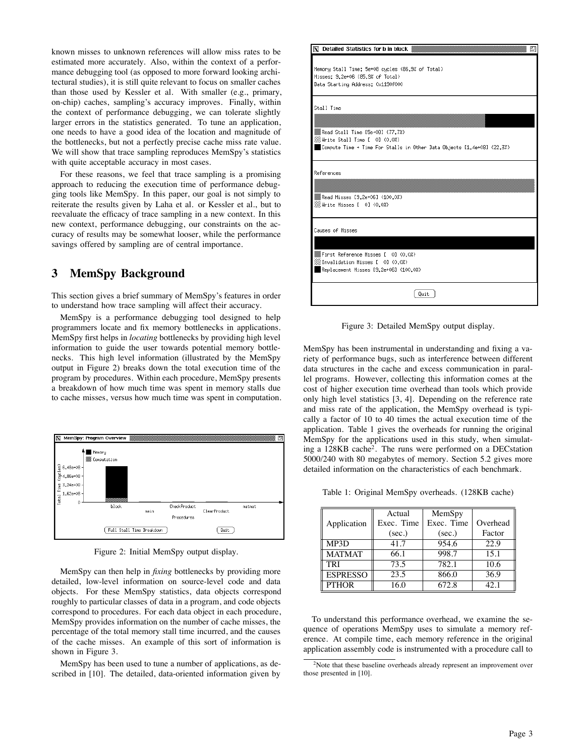known misses to unknown references will allow miss rates to be estimated more accurately. Also, within the context of a performance debugging tool (as opposed to more forward looking architectural studies), it is still quite relevant to focus on smaller caches than those used by Kessler et al. With smaller (e.g., primary, on-chip) caches, sampling's accuracy improves. Finally, within the context of performance debugging, we can tolerate slightly larger errors in the statistics generated. To tune an application, one needs to have a good idea of the location and magnitude of the bottlenecks, but not a perfectly precise cache miss rate value. We will show that trace sampling reproduces MemSpy's statistics with quite acceptable accuracy in most cases.

For these reasons, we feel that trace sampling is a promising approach to reducing the execution time of performance debugging tools like MemSpy. In this paper, our goal is not simply to reiterate the results given by Laha et al. or Kessler et al., but to reevaluate the efficacy of trace sampling in a new context. In this new context, performance debugging, our constraints on the accuracy of results may be somewhat looser, while the performance savings offered by sampling are of central importance.

# **3 MemSpy Background**

This section gives a brief summary of MemSpy's features in order to understand how trace sampling will affect their accuracy.

MemSpy is a performance debugging tool designed to help programmers locate and fix memory bottlenecks in applications. MemSpy first helps in *locating* bottlenecks by providing high level information to guide the user towards potential memory bottlenecks. This high level information (illustrated by the MemSpy output in Figure 2) breaks down the total execution time of the program by procedures. Within each procedure, MemSpy presents a breakdown of how much time was spent in memory stalls due to cache misses, versus how much time was spent in computation.



Figure 2: Initial MemSpy output display.

MemSpy can then help in *fixing* bottlenecks by providing more detailed, low-level information on source-level code and data objects. For these MemSpy statistics, data objects correspond roughly to particular classes of data in a program, and code objects correspond to procedures. For each data object in each procedure, MemSpy provides information on the number of cache misses, the percentage of the total memory stall time incurred, and the causes of the cache misses. An example of this sort of information is shown in Figure 3.

MemSpy has been used to tune a number of applications, as described in [10]. The detailed, data-oriented information given by



Figure 3: Detailed MemSpy output display.

MemSpy has been instrumental in understanding and fixing a variety of performance bugs, such as interference between different data structures in the cache and excess communication in parallel programs. However, collecting this information comes at the cost of higher execution time overhead than tools which provide only high level statistics [3, 4]. Depending on the reference rate and miss rate of the application, the MemSpy overhead is typically a factor of 10 to 40 times the actual execution time of the application. Table 1 gives the overheads for running the original MemSpy for the applications used in this study, when simulating a 128KB cache2. The runs were performed on a DECstation 5000/240 with 80 megabytes of memory. Section 5.2 gives more detailed information on the characteristics of each benchmark.

Table 1: Original MemSpy overheads. (128KB cache)

|                 | Actual     | MemSpy     |          |
|-----------------|------------|------------|----------|
| Application     | Exec. Time | Exec. Time | Overhead |
|                 | (sec.)     | (sec.)     | Factor   |
| MP3D            | 41.7       | 954.6      | 22.9     |
| <b>MATMAT</b>   | 66.1       | 998.7      | 15.1     |
| <b>TRI</b>      | 73.5       | 782.1      | 10.6     |
| <b>ESPRESSO</b> | 23.5       | 866.0      | 36.9     |
| <b>PTHOR</b>    | 16.0       | 672.8      | 42.1     |

To understand this performance overhead, we examine the sequence of operations MemSpy uses to simulate a memory reference. At compile time, each memory reference in the original application assembly code is instrumented with a procedure call to

<sup>&</sup>lt;sup>2</sup>Note that these baseline overheads already represent an improvement over those presented in [10].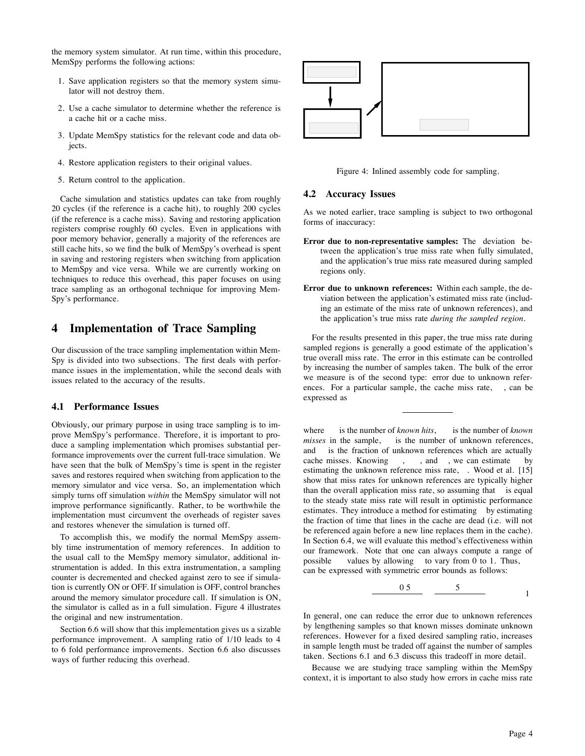the memory system simulator. At run time, within this procedure, MemSpy performs the following actions:

- 1. Save application registers so that the memory system simulator will not destroy them.
- 2. Use a cache simulator to determine whether the reference is a cache hit or a cache miss.
- 3. Update MemSpy statistics for the relevant code and data objects.
- 4. Restore application registers to their original values.
- 5. Return control to the application.

Cache simulation and statistics updates can take from roughly 20 cycles (if the reference is a cache hit), to roughly 200 cycles (if the reference is a cache miss). Saving and restoring application registers comprise roughly 60 cycles. Even in applications with poor memory behavior, generally a majority of the references are still cache hits, so we find the bulk of MemSpy's overhead is spent in saving and restoring registers when switching from application to MemSpy and vice versa. While we are currently working on techniques to reduce this overhead, this paper focuses on using trace sampling as an orthogonal technique for improving Mem-Spy's performance.

## **4 Implementation of Trace Sampling**

Our discussion of the trace sampling implementation within Mem-Spy is divided into two subsections. The first deals with performance issues in the implementation, while the second deals with issues related to the accuracy of the results.

#### **4.1 Performance Issues**

Obviously, our primary purpose in using trace sampling is to improve MemSpy's performance. Therefore, it is important to produce a sampling implementation which promises substantial performance improvements over the current full-trace simulation. We have seen that the bulk of MemSpy's time is spent in the register saves and restores required when switching from application to the memory simulator and vice versa. So, an implementation which simply turns off simulation *within* the MemSpy simulator will not improve performance significantly. Rather, to be worthwhile the implementation must circumvent the overheads of register saves and restores whenever the simulation is turned off.

To accomplish this, we modify the normal MemSpy assembly time instrumentation of memory references. In addition to the usual call to the MemSpy memory simulator, additional instrumentation is added. In this extra instrumentation, a sampling counter is decremented and checked against zero to see if simulation is currently ON or OFF. If simulation is OFF, control branches around the memory simulator procedure call. If simulation is ON, the simulator is called as in a full simulation. Figure 4 illustrates the original and new instrumentation.

Section 6.6 will show that this implementation gives us a sizable performance improvement. A sampling ratio of 1/10 leads to 4 to 6 fold performance improvements. Section 6.6 also discusses ways of further reducing this overhead.



Figure 4: Inlined assembly code for sampling.

#### **4.2 Accuracy Issues**

As we noted earlier, trace sampling is subject to two orthogonal forms of inaccuracy:

- **Error due to non-representative samples:** The deviation between the application's true miss rate when fully simulated, and the application's true miss rate measured during sampled regions only.
- **Error due to unknown references:** Within each sample, the deviation between the application's estimated miss rate (including an estimate of the miss rate of unknown references), and the application's true miss rate *during the sampled region*.

For the results presented in this paper, the true miss rate during sampled regions is generally a good estimate of the application's true overall miss rate. The error in this estimate can be controlled by increasing the number of samples taken. The bulk of the error we measure is of the second type: error due to unknown references. For a particular sample, the cache miss rate, , can be expressed as

where is the number of *known hits*, is the number of *known misses* in the sample, is the number of unknown references, and is the fraction of unknown references which are actually cache misses. Knowing , and , we can estimate by cache misses. Knowing, , and, we can estimate estimating the unknown reference miss rate, . Wood et al. [15] show that miss rates for unknown references are typically higher than the overall application miss rate, so assuming that is equal to the steady state miss rate will result in optimistic performance estimates. They introduce a method for estimating by estimating the fraction of time that lines in the cache are dead (i.e. will not be referenced again before a new line replaces them in the cache). In Section 6.4, we will evaluate this method's effectiveness within our framework. Note that one can always compute a range of possible values by allowing to vary from 0 to 1. Thus, can be expressed with symmetric error bounds as follows:

$$
\begin{array}{c|c}\n0.5 & 5 \\
\hline\n0.5 & 1\n\end{array}
$$

In general, one can reduce the error due to unknown references by lengthening samples so that known misses dominate unknown references. However for a fixed desired sampling ratio, increases in sample length must be traded off against the number of samples taken. Sections 6.1 and 6.3 discuss this tradeoff in more detail.

Because we are studying trace sampling within the MemSpy context, it is important to also study how errors in cache miss rate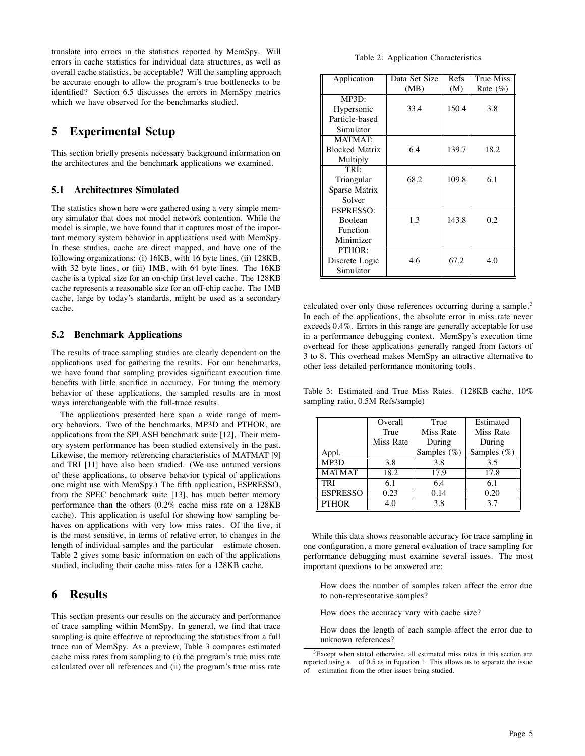translate into errors in the statistics reported by MemSpy. Will errors in cache statistics for individual data structures, as well as overall cache statistics, be acceptable? Will the sampling approach be accurate enough to allow the program's true bottlenecks to be identified? Section 6.5 discusses the errors in MemSpy metrics which we have observed for the benchmarks studied.

# **5 Experimental Setup**

This section briefly presents necessary background information on the architectures and the benchmark applications we examined.

### **5.1 Architectures Simulated**

The statistics shown here were gathered using a very simple memory simulator that does not model network contention. While the model is simple, we have found that it captures most of the important memory system behavior in applications used with MemSpy. In these studies, cache are direct mapped, and have one of the following organizations: (i) 16KB, with 16 byte lines, (ii) 128KB, with 32 byte lines, or (iii) 1MB, with 64 byte lines. The 16KB cache is a typical size for an on-chip first level cache. The 128KB cache represents a reasonable size for an off-chip cache. The 1MB cache, large by today's standards, might be used as a secondary cache.

### **5.2 Benchmark Applications**

The results of trace sampling studies are clearly dependent on the applications used for gathering the results. For our benchmarks, we have found that sampling provides significant execution time benefits with little sacrifice in accuracy. For tuning the memory behavior of these applications, the sampled results are in most ways interchangeable with the full-trace results.

The applications presented here span a wide range of memory behaviors. Two of the benchmarks, MP3D and PTHOR, are applications from the SPLASH benchmark suite [12]. Their memory system performance has been studied extensively in the past. Likewise, the memory referencing characteristics of MATMAT [9] and TRI [11] have also been studied. (We use untuned versions of these applications, to observe behavior typical of applications one might use with MemSpy.) The fifth application, ESPRESSO, from the SPEC benchmark suite [13], has much better memory performance than the others (0.2% cache miss rate on a 128KB cache). This application is useful for showing how sampling behaves on applications with very low miss rates. Of the five, it is the most sensitive, in terms of relative error, to changes in the length of individual samples and the particular estimate chosen. Table 2 gives some basic information on each of the applications studied, including their cache miss rates for a 128KB cache.

## **6 Results**

This section presents our results on the accuracy and performance of trace sampling within MemSpy. In general, we find that trace sampling is quite effective at reproducing the statistics from a full trace run of MemSpy. As a preview, Table 3 compares estimated cache miss rates from sampling to (i) the program's true miss rate calculated over all references and (ii) the program's true miss rate

| Application           | Data Set Size | Refs  | True Miss   |
|-----------------------|---------------|-------|-------------|
|                       | (MB)          | (M)   | Rate $(\%)$ |
| MP3D:                 |               |       |             |
| Hypersonic            | 33.4          | 150.4 | 3.8         |
| Particle-based        |               |       |             |
| Simulator             |               |       |             |
| <b>MATMAT:</b>        |               |       |             |
| <b>Blocked Matrix</b> | 6.4           | 139.7 | 18.2        |
| Multiply              |               |       |             |
| TRI:                  |               |       |             |
| Triangular            | 68.2          | 109.8 | 6.1         |
| Sparse Matrix         |               |       |             |
| Solver                |               |       |             |
| <b>ESPRESSO:</b>      |               |       |             |
| <b>Boolean</b>        | 1.3           | 143.8 | 0.2         |
| Function              |               |       |             |
| Minimizer             |               |       |             |
| PTHOR:                |               |       |             |
| Discrete Logic        | 4.6           | 67.2  | 4.0         |
| Simulator             |               |       |             |

calculated over only those references occurring during a sample.<sup>3</sup> In each of the applications, the absolute error in miss rate never exceeds 0.4%. Errors in this range are generally acceptable for use in a performance debugging context. MemSpy's execution time overhead for these applications generally ranged from factors of 3 to 8. This overhead makes MemSpy an attractive alternative to other less detailed performance monitoring tools.

Table 3: Estimated and True Miss Rates. (128KB cache, 10% sampling ratio, 0.5M Refs/sample)

|                 | Overall   | True           | Estimated      |
|-----------------|-----------|----------------|----------------|
|                 | True      | Miss Rate      | Miss Rate      |
|                 | Miss Rate | During         | During         |
| Appl.           |           | Samples $(\%)$ | Samples $(\%)$ |
| MP3D            | 3.8       | 3.8            | 3.5            |
| <b>MATMAT</b>   | 18.2      | 17.9           | 17.8           |
| <b>TRI</b>      | 6.1       | 6.4            | 6.1            |
| <b>ESPRESSO</b> | 0.23      | 0.14           | 0.20           |
| <b>PTHOR</b>    | 4.0       | 3.8            | 3.7            |

While this data shows reasonable accuracy for trace sampling in one configuration, a more general evaluation of trace sampling for performance debugging must examine several issues. The most important questions to be answered are:

How does the number of samples taken affect the error due to non-representative samples?

How does the accuracy vary with cache size?

How does the length of each sample affect the error due to unknown references?

 $3E$ xcept when stated otherwise, all estimated miss rates in this section are reported using a of 0.5 as in Equation 1. This allows us to separate the issue estimation from the other issues being studied.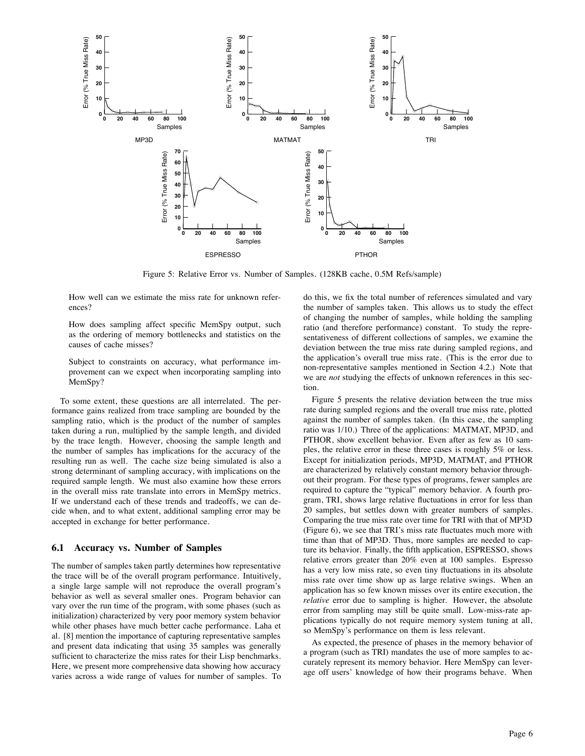

Figure 5: Relative Error vs. Number of Samples. (128KB cache, 0.5M Refs/sample)

How well can we estimate the miss rate for unknown references?

How does sampling affect specific MemSpy output, such as the ordering of memory bottlenecks and statistics on the causes of cache misses?

Subject to constraints on accuracy, what performance improvement can we expect when incorporating sampling into MemSpy?

To some extent, these questions are all interrelated. The performance gains realized from trace sampling are bounded by the sampling ratio, which is the product of the number of samples taken during a run, multiplied by the sample length, and divided by the trace length. However, choosing the sample length and the number of samples has implications for the accuracy of the resulting run as well. The cache size being simulated is also a strong determinant of sampling accuracy, with implications on the required sample length. We must also examine how these errors in the overall miss rate translate into errors in MemSpy metrics. If we understand each of these trends and tradeoffs, we can decide when, and to what extent, additional sampling error may be accepted in exchange for better performance.

#### **6.1 Accuracy vs. Number of Samples**

The number of samples taken partly determines how representative the trace will be of the overall program performance. Intuitively, a single large sample will not reproduce the overall program's behavior as well as several smaller ones. Program behavior can vary over the run time of the program, with some phases (such as initialization) characterized by very poor memory system behavior while other phases have much better cache performance. Laha et al. [8] mention the importance of capturing representative samples and present data indicating that using 35 samples was generally sufficient to characterize the miss rates for their Lisp benchmarks. Here, we present more comprehensive data showing how accuracy varies across a wide range of values for number of samples. To do this, we fix the total number of references simulated and vary the number of samples taken. This allows us to study the effect of changing the number of samples, while holding the sampling ratio (and therefore performance) constant. To study the representativeness of different collections of samples, we examine the deviation between the true miss rate during sampled regions, and the application's overall true miss rate. (This is the error due to non-representative samples mentioned in Section 4.2.) Note that we are *not* studying the effects of unknown references in this section.

Figure 5 presents the relative deviation between the true miss rate during sampled regions and the overall true miss rate, plotted against the number of samples taken. (In this case, the sampling ratio was 1/10.) Three of the applications: MATMAT, MP3D, and PTHOR, show excellent behavior. Even after as few as 10 samples, the relative error in these three cases is roughly 5% or less. Except for initialization periods, MP3D, MATMAT, and PTHOR are characterized by relatively constant memory behavior throughout their program. For these types of programs, fewer samples are required to capture the "typical" memory behavior. A fourth program, TRI, shows large relative fluctuations in error for less than 20 samples, but settles down with greater numbers of samples. Comparing the true miss rate over time for TRI with that of MP3D (Figure 6), we see that TRI's miss rate fluctuates much more with time than that of MP3D. Thus, more samples are needed to capture its behavior. Finally, the fifth application, ESPRESSO, shows relative errors greater than 20% even at 100 samples. Espresso has a very low miss rate, so even tiny fluctuations in its absolute miss rate over time show up as large relative swings. When an application has so few known misses over its entire execution, the *relative* error due to sampling is higher. However, the absolute error from sampling may still be quite small. Low-miss-rate applications typically do not require memory system tuning at all, so MemSpy's performance on them is less relevant.

As expected, the presence of phases in the memory behavior of a program (such as TRI) mandates the use of more samples to accurately represent its memory behavior. Here MemSpy can leverage off users' knowledge of how their programs behave. When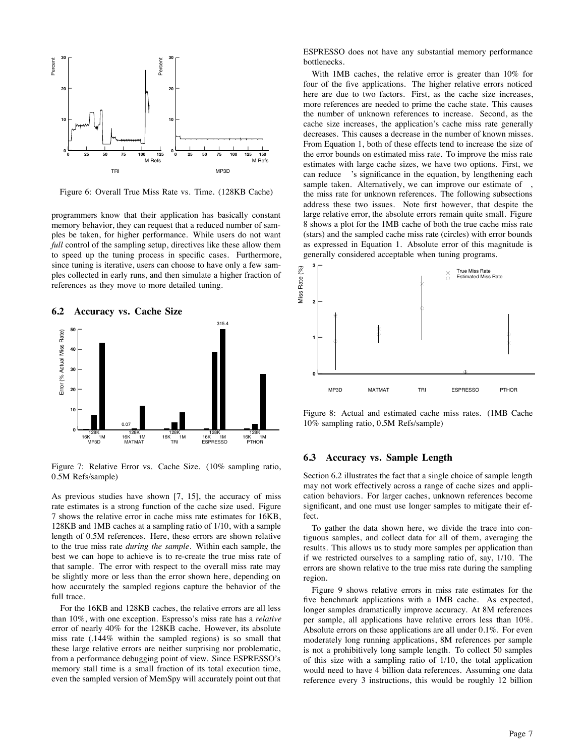

Figure 6: Overall True Miss Rate vs. Time. (128KB Cache)

programmers know that their application has basically constant memory behavior, they can request that a reduced number of samples be taken, for higher performance. While users do not want *full* control of the sampling setup, directives like these allow them to speed up the tuning process in specific cases. Furthermore, since tuning is iterative, users can choose to have only a few samples collected in early runs, and then simulate a higher fraction of references as they move to more detailed tuning.





Figure 7: Relative Error vs. Cache Size. (10% sampling ratio, 0.5M Refs/sample)

As previous studies have shown [7, 15], the accuracy of miss rate estimates is a strong function of the cache size used. Figure 7 shows the relative error in cache miss rate estimates for 16KB, 128KB and 1MB caches at a sampling ratio of 1/10, with a sample length of 0.5M references. Here, these errors are shown relative to the true miss rate *during the sample*. Within each sample, the best we can hope to achieve is to re-create the true miss rate of that sample. The error with respect to the overall miss rate may be slightly more or less than the error shown here, depending on how accurately the sampled regions capture the behavior of the full trace.

For the 16KB and 128KB caches, the relative errors are all less than 10%, with one exception. Espresso's miss rate has a *relative* error of nearly 40% for the 128KB cache. However, its absolute miss rate (.144% within the sampled regions) is so small that these large relative errors are neither surprising nor problematic, from a performance debugging point of view. Since ESPRESSO's memory stall time is a small fraction of its total execution time, even the sampled version of MemSpy will accurately point out that

ESPRESSO does not have any substantial memory performance bottlenecks.

With 1MB caches, the relative error is greater than 10% for four of the five applications. The higher relative errors noticed here are due to two factors. First, as the cache size increases, more references are needed to prime the cache state. This causes the number of unknown references to increase. Second, as the cache size increases, the application's cache miss rate generally decreases. This causes a decrease in the number of known misses. From Equation 1, both of these effects tend to increase the size of the error bounds on estimated miss rate. To improve the miss rate estimates with large cache sizes, we have two options. First, we can reduce 's significance in the equation, by lengthening each sample taken. Alternatively, we can improve our estimate of, the miss rate for unknown references. The following subsections address these two issues. Note first however, that despite the large relative error, the absolute errors remain quite small. Figure 8 shows a plot for the 1MB cache of both the true cache miss rate (stars) and the sampled cache miss rate (circles) with error bounds as expressed in Equation 1. Absolute error of this magnitude is generally considered acceptable when tuning programs.



Figure 8: Actual and estimated cache miss rates. (1MB Cache 10% sampling ratio, 0.5M Refs/sample)

#### **6.3 Accuracy vs. Sample Length**

Section 6.2 illustrates the fact that a single choice of sample length may not work effectively across a range of cache sizes and application behaviors. For larger caches, unknown references become significant, and one must use longer samples to mitigate their effect.

To gather the data shown here, we divide the trace into contiguous samples, and collect data for all of them, averaging the results. This allows us to study more samples per application than if we restricted ourselves to a sampling ratio of, say, 1/10. The errors are shown relative to the true miss rate during the sampling region.

Figure 9 shows relative errors in miss rate estimates for the five benchmark applications with a 1MB cache. As expected, longer samples dramatically improve accuracy. At 8M references per sample, all applications have relative errors less than 10%. Absolute errors on these applications are all under 0.1%. For even moderately long running applications, 8M references per sample is not a prohibitively long sample length. To collect 50 samples of this size with a sampling ratio of 1/10, the total application would need to have 4 billion data references. Assuming one data reference every 3 instructions, this would be roughly 12 billion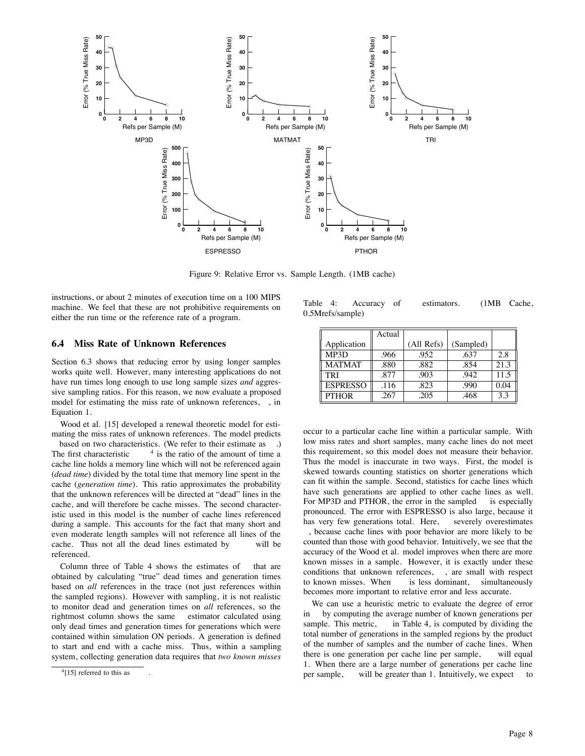

Figure 9: Relative Error vs. Sample Length. (1MB cache)

instructions, or about 2 minutes of execution time on a 100 MIPS machine. We feel that these are not prohibitive requirements on either the run time or the reference rate of a program.

#### **6.4 Miss Rate of Unknown References**

Section 6.3 shows that reducing error by using longer samples works quite well. However, many interesting applications do not have run times long enough to use long sample sizes *and* aggressive sampling ratios. For this reason, we now evaluate a proposed model for estimating the miss rate of unknown references, Equation 1.

Wood et al. [15] developed a renewal theoretic model for estimating the miss rates of unknown references. The model predicts

based on two characteristics. (We refer to their estimate as .) The first characteristic  $4$  is the ratio of the amount of time a cache line holds a memory line which will not be referenced again (*dead time*) divided by the total time that memory line spent in the cache (*generation time*). This ratio approximates the probability that the unknown references will be directed at "dead" lines in the cache, and will therefore be cache misses. The second characteristic used in this model is the number of cache lines referenced during a sample. This accounts for the fact that many short and even moderate length samples will not reference all lines of the cache. Thus not all the dead lines estimated by will be referenced.

Column three of Table 4 shows the estimates of that are obtained by calculating "true" dead times and generation times based on *all* references in the trace (not just references within the sampled regions). However with sampling, it is not realistic to monitor dead and generation times on *all* references, so the rightmost column shows the same estimator calculated using only dead times and generation times for generations which were contained within simulation ON periods. A generation is defined to start and end with a cache miss. Thus, within a sampling system, collecting generation data requires that *two known misses*

Table 4: Accuracy of estimators. (1MB Cache, 0.5Mrefs/sample)

|                 | Actual |            |           |      |
|-----------------|--------|------------|-----------|------|
| Application     |        | (All Refs) | (Sampled) |      |
| MP3D            | .966   | .952       | .637      | 2.8  |
| <b>MATMAT</b>   | .880   | .882       | .854      | 21.3 |
| TRI             | .877   | .903       | .942      | 11.5 |
| <b>ESPRESSO</b> | .116   | .823       | .990      | 0.04 |
| <b>PTHOR</b>    | .267   | .205       | .468      | 3.3  |

occur to a particular cache line within a particular sample. With low miss rates and short samples, many cache lines do not meet this requirement, so this model does not measure their behavior. Thus the model is inaccurate in two ways. First, the model is skewed towards counting statistics on shorter generations which can fit within the sample. Second, statistics for cache lines which have such generations are applied to other cache lines as well. For MP3D and PTHOR, the error in the sampled is especially pronounced. The error with ESPRESSO is also large, because it has very few generations total. Here, severely overestimates , because cache lines with poor behavior are more likely to be counted than those with good behavior. Intuitively, we see that the accuracy of the Wood et al. model improves when there are more known misses in a sample. However, it is exactly under these conditions that unknown references, , are small with respect to known misses. When is less dominant, simultaneously becomes more important to relative error and less accurate.

We can use a heuristic metric to evaluate the degree of error in by computing the average number of known generations per sample. This metric, in Table 4, is computed by dividing the total number of generations in the sampled regions by the product of the number of samples and the number of cache lines. When there is one generation per cache line per sample, will equal 1. When there are a large number of generations per cache line per sample, will be greater than 1. Intuitively, we expect

 $4[15]$  referred to this as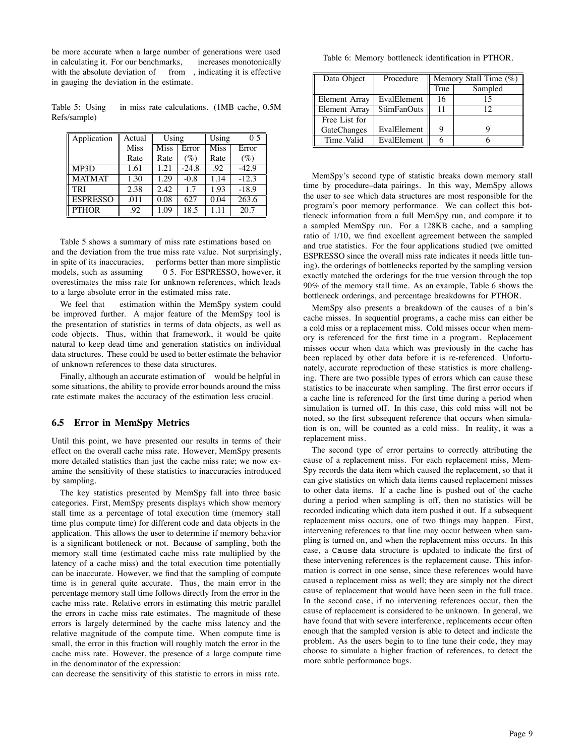be more accurate when a large number of generations were used in calculating it. For our benchmarks, increases monotonically with the absolute deviation of from , indicating it is effective in gauging the deviation in the estimate.

Table 5: Using in miss rate calculations. (1MB cache, 0.5M Refs/sample)

| Application     | Actual | Using       |         | Using       | 0.5     |
|-----------------|--------|-------------|---------|-------------|---------|
|                 | Miss   | <b>Miss</b> | Error   | <b>Miss</b> | Error   |
|                 | Rate   | Rate        | $(\%)$  | Rate        | $(\%)$  |
| MP3D            | 1.61   | 1.21        | $-24.8$ | .92         | $-42.9$ |
| <b>MATMAT</b>   | 1.30   | 1.29        | $-0.8$  | 1.14        | $-12.3$ |
| <b>TRI</b>      | 2.38   | 2.42        | 1.7     | 1.93        | $-18.9$ |
| <b>ESPRESSO</b> | .011   | 0.08        | 627     | 0.04        | 263.6   |
| <b>PTHOR</b>    | .92    | 1.09        | 18.5    | 1 1 1       | 20.7    |

Table 5 shows a summary of miss rate estimations based on and the deviation from the true miss rate value. Not surprisingly, in spite of its inaccuracies, performs better than more simplistic models, such as assuming 0 5. For ESPRESSO, however, it overestimates the miss rate for unknown references, which leads to a large absolute error in the estimated miss rate.

We feel that estimation within the MemSpy system could be improved further. A major feature of the MemSpy tool is the presentation of statistics in terms of data objects, as well as code objects. Thus, within that framework, it would be quite natural to keep dead time and generation statistics on individual data structures. These could be used to better estimate the behavior of unknown references to these data structures.

Finally, although an accurate estimation of would be helpful in some situations, the ability to provide error bounds around the miss rate estimate makes the accuracy of the estimation less crucial.

#### **6.5 Error in MemSpy Metrics**

Until this point, we have presented our results in terms of their effect on the overall cache miss rate. However, MemSpy presents more detailed statistics than just the cache miss rate; we now examine the sensitivity of these statistics to inaccuracies introduced by sampling.

The key statistics presented by MemSpy fall into three basic categories. First, MemSpy presents displays which show memory stall time as a percentage of total execution time (memory stall time plus compute time) for different code and data objects in the application. This allows the user to determine if memory behavior is a significant bottleneck or not. Because of sampling, both the memory stall time (estimated cache miss rate multiplied by the latency of a cache miss) and the total execution time potentially can be inaccurate. However, we find that the sampling of compute time is in general quite accurate. Thus, the main error in the percentage memory stall time follows directly from the error in the cache miss rate. Relative errors in estimating this metric parallel the errors in cache miss rate estimates. The magnitude of these errors is largely determined by the cache miss latency and the relative magnitude of the compute time. When compute time is small, the error in this fraction will roughly match the error in the cache miss rate. However, the presence of a large compute time in the denominator of the expression:

can decrease the sensitivity of this statistic to errors in miss rate.

Table 6: Memory bottleneck identification in PTHOR.

| Data Object        | Procedure          | Memory Stall Time $(\%)$ |         |
|--------------------|--------------------|--------------------------|---------|
|                    |                    | True                     | Sampled |
| Element Array      | EvalElement        | 16                       |         |
| Element Array      | <b>StimFanOuts</b> | 11                       | 12      |
| Free List for      |                    |                          |         |
| <b>GateChanges</b> | EvalElement        | 9                        |         |
| Time_Valid         | EvalElement        |                          |         |

MemSpy's second type of statistic breaks down memory stall time by procedure–data pairings. In this way, MemSpy allows the user to see which data structures are most responsible for the program's poor memory performance. We can collect this bottleneck information from a full MemSpy run, and compare it to a sampled MemSpy run. For a 128KB cache, and a sampling ratio of 1/10, we find excellent agreement between the sampled and true statistics. For the four applications studied (we omitted ESPRESSO since the overall miss rate indicates it needs little tuning), the orderings of bottlenecks reported by the sampling version exactly matched the orderings for the true version through the top 90% of the memory stall time. As an example, Table 6 shows the bottleneck orderings, and percentage breakdowns for PTHOR.

MemSpy also presents a breakdown of the causes of a bin's cache misses. In sequential programs, a cache miss can either be a cold miss or a replacement miss. Cold misses occur when memory is referenced for the first time in a program. Replacement misses occur when data which was previously in the cache has been replaced by other data before it is re-referenced. Unfortunately, accurate reproduction of these statistics is more challenging. There are two possible types of errors which can cause these statistics to be inaccurate when sampling. The first error occurs if a cache line is referenced for the first time during a period when simulation is turned off. In this case, this cold miss will not be noted, so the first subsequent reference that occurs when simulation is on, will be counted as a cold miss. In reality, it was a replacement miss.

The second type of error pertains to correctly attributing the cause of a replacement miss. For each replacement miss, Mem-Spy records the data item which caused the replacement, so that it can give statistics on which data items caused replacement misses to other data items. If a cache line is pushed out of the cache during a period when sampling is off, then no statistics will be recorded indicating which data item pushed it out. If a subsequent replacement miss occurs, one of two things may happen. First, intervening references to that line may occur between when sampling is turned on, and when the replacement miss occurs. In this case, a Cause data structure is updated to indicate the first of these intervening references is the replacement cause. This information is correct in one sense, since these references would have caused a replacement miss as well; they are simply not the direct cause of replacement that would have been seen in the full trace. In the second case, if no intervening references occur, then the cause of replacement is considered to be unknown. In general, we have found that with severe interference, replacements occur often enough that the sampled version is able to detect and indicate the problem. As the users begin to to fine tune their code, they may choose to simulate a higher fraction of references, to detect the more subtle performance bugs.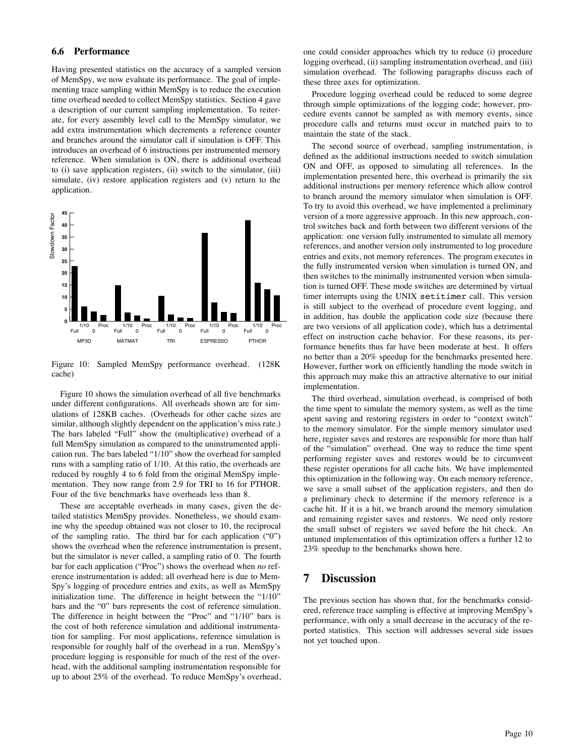#### **6.6 Performance**

Having presented statistics on the accuracy of a sampled version of MemSpy, we now evaluate its performance. The goal of implementing trace sampling within MemSpy is to reduce the execution time overhead needed to collect MemSpy statistics. Section 4 gave a description of our current sampling implementation. To reiterate, for every assembly level call to the MemSpy simulator, we add extra instrumentation which decrements a reference counter and branches around the simulator call if simulation is OFF. This introduces an overhead of 6 instructions per instrumented memory reference. When simulation is ON, there is additional overhead to (i) save application registers, (ii) switch to the simulator, (iii) simulate, (iv) restore application registers and (v) return to the application.



Figure 10: Sampled MemSpy performance overhead. (128K cache)

Figure 10 shows the simulation overhead of all five benchmarks under different configurations. All overheads shown are for simulations of 128KB caches. (Overheads for other cache sizes are similar, although slightly dependent on the application's miss rate.) The bars labeled "Full" show the (multiplicative) overhead of a full MemSpy simulation as compared to the uninstrumented application run. The bars labeled "1/10" show the overhead for sampled runs with a sampling ratio of 1/10. At this ratio, the overheads are reduced by roughly 4 to 6 fold from the original MemSpy implementation. They now range from 2.9 for TRI to 16 for PTHOR. Four of the five benchmarks have overheads less than 8.

These are acceptable overheads in many cases, given the detailed statistics MemSpy provides. Nonetheless, we should examine why the speedup obtained was not closer to 10, the reciprocal of the sampling ratio. The third bar for each application ("0") shows the overhead when the reference instrumentation is present, but the simulator is never called, a sampling ratio of 0. The fourth bar for each application ("Proc") shows the overhead when *no* reference instrumentation is added; all overhead here is due to Mem-Spy's logging of procedure entries and exits, as well as MemSpy initialization time. The difference in height between the "1/10" bars and the "0" bars represents the cost of reference simulation. The difference in height between the "Proc" and "1/10" bars is the cost of both reference simulation and additional instrumentation for sampling. For most applications, reference simulation is responsible for roughly half of the overhead in a run. MemSpy's procedure logging is responsible for much of the rest of the overhead, with the additional sampling instrumentation responsible for up to about 25% of the overhead. To reduce MemSpy's overhead,

one could consider approaches which try to reduce (i) procedure logging overhead, (ii) sampling instrumentation overhead, and (iii) simulation overhead. The following paragraphs discuss each of these three axes for optimization.

Procedure logging overhead could be reduced to some degree through simple optimizations of the logging code; however, procedure events cannot be sampled as with memory events, since procedure calls and returns must occur in matched pairs to to maintain the state of the stack.

The second source of overhead, sampling instrumentation, is defined as the additional instructions needed to switch simulation ON and OFF, as opposed to simulating all references. In the implementation presented here, this overhead is primarily the six additional instructions per memory reference which allow control to branch around the memory simulator when simulation is OFF. To try to avoid this overhead, we have implemented a preliminary version of a more aggressive approach. In this new approach, control switches back and forth between two different versions of the application: one version fully instrumented to simulate all memory references, and another version only instrumented to log procedure entries and exits, not memory references. The program executes in the fully instrumented version when simulation is turned ON, and then switches to the minimally instrumented version when simulation is turned OFF. These mode switches are determined by virtual timer interrupts using the UNIX setitimer call. This version is still subject to the overhead of procedure event logging, and in addition, has double the application code size (because there are two versions of all application code), which has a detrimental effect on instruction cache behavior. For these reasons, its performance benefits thus far have been moderate at best. It offers no better than a 20% speedup for the benchmarks presented here. However, further work on efficiently handling the mode switch in this approach may make this an attractive alternative to our initial implementation.

The third overhead, simulation overhead, is comprised of both the time spent to simulate the memory system, as well as the time spent saving and restoring registers in order to "context switch" to the memory simulator. For the simple memory simulator used here, register saves and restores are responsible for more than half of the "simulation" overhead. One way to reduce the time spent performing register saves and restores would be to circumvent these register operations for all cache hits. We have implemented this optimization in the following way. On each memory reference, we save a small subset of the application registers, and then do a preliminary check to determine if the memory reference is a cache hit. If it is a hit, we branch around the memory simulation and remaining register saves and restores. We need only restore the small subset of registers we saved before the hit check. An untuned implementation of this optimization offers a further 12 to 23% speedup to the benchmarks shown here.

### **7 Discussion**

The previous section has shown that, for the benchmarks considered, reference trace sampling is effective at improving MemSpy's performance, with only a small decrease in the accuracy of the reported statistics. This section will addresses several side issues not yet touched upon.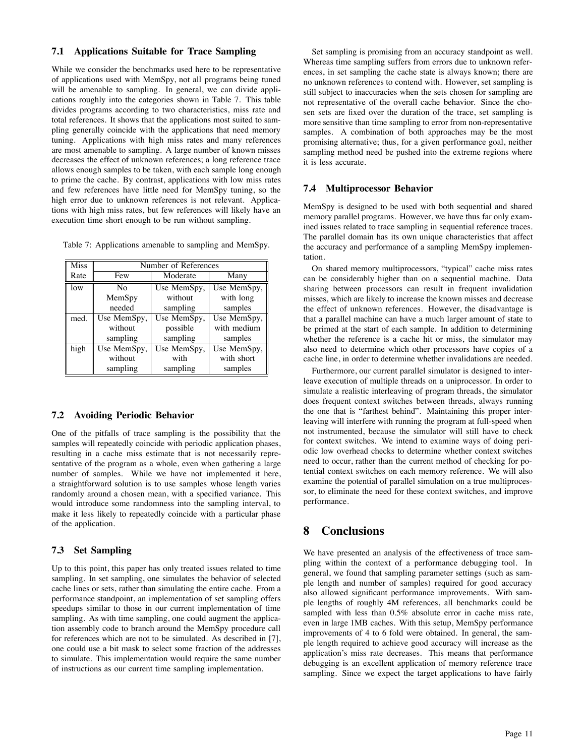### **7.1 Applications Suitable for Trace Sampling**

While we consider the benchmarks used here to be representative of applications used with MemSpy, not all programs being tuned will be amenable to sampling. In general, we can divide applications roughly into the categories shown in Table 7. This table divides programs according to two characteristics, miss rate and total references. It shows that the applications most suited to sampling generally coincide with the applications that need memory tuning. Applications with high miss rates and many references are most amenable to sampling. A large number of known misses decreases the effect of unknown references; a long reference trace allows enough samples to be taken, with each sample long enough to prime the cache. By contrast, applications with low miss rates and few references have little need for MemSpy tuning, so the high error due to unknown references is not relevant. Applications with high miss rates, but few references will likely have an execution time short enough to be run without sampling.

Table 7: Applications amenable to sampling and MemSpy.

| <b>Miss</b> | Number of References |             |             |  |
|-------------|----------------------|-------------|-------------|--|
| Rate        | Few                  | Moderate    | Many        |  |
| low         | Nο                   | Use MemSpy, | Use MemSpy, |  |
|             | MemSpy               | without     | with long   |  |
|             | needed               | sampling    | samples     |  |
| med.        | Use MemSpy,          | Use MemSpy, | Use MemSpy, |  |
|             | without              | possible    | with medium |  |
|             | sampling             | sampling    | samples     |  |
| high        | Use MemSpy,          | Use MemSpy, | Use MemSpy, |  |
|             | without              | with        | with short  |  |
|             | sampling             | sampling    | samples     |  |

#### **7.2 Avoiding Periodic Behavior**

One of the pitfalls of trace sampling is the possibility that the samples will repeatedly coincide with periodic application phases, resulting in a cache miss estimate that is not necessarily representative of the program as a whole, even when gathering a large number of samples. While we have not implemented it here, a straightforward solution is to use samples whose length varies randomly around a chosen mean, with a specified variance. This would introduce some randomness into the sampling interval, to make it less likely to repeatedly coincide with a particular phase of the application.

### **7.3 Set Sampling**

Up to this point, this paper has only treated issues related to time sampling. In set sampling, one simulates the behavior of selected cache lines or sets, rather than simulating the entire cache. From a performance standpoint, an implementation of set sampling offers speedups similar to those in our current implementation of time sampling. As with time sampling, one could augment the application assembly code to branch around the MemSpy procedure call for references which are not to be simulated. As described in [7], one could use a bit mask to select some fraction of the addresses to simulate. This implementation would require the same number of instructions as our current time sampling implementation.

Set sampling is promising from an accuracy standpoint as well. Whereas time sampling suffers from errors due to unknown references, in set sampling the cache state is always known; there are no unknown references to contend with. However, set sampling is still subject to inaccuracies when the sets chosen for sampling are not representative of the overall cache behavior. Since the chosen sets are fixed over the duration of the trace, set sampling is more sensitive than time sampling to error from non-representative samples. A combination of both approaches may be the most promising alternative; thus, for a given performance goal, neither sampling method need be pushed into the extreme regions where it is less accurate.

#### **7.4 Multiprocessor Behavior**

MemSpy is designed to be used with both sequential and shared memory parallel programs. However, we have thus far only examined issues related to trace sampling in sequential reference traces. The parallel domain has its own unique characteristics that affect the accuracy and performance of a sampling MemSpy implementation.

On shared memory multiprocessors, "typical" cache miss rates can be considerably higher than on a sequential machine. Data sharing between processors can result in frequent invalidation misses, which are likely to increase the known misses and decrease the effect of unknown references. However, the disadvantage is that a parallel machine can have a much larger amount of state to be primed at the start of each sample. In addition to determining whether the reference is a cache hit or miss, the simulator may also need to determine which other processors have copies of a cache line, in order to determine whether invalidations are needed.

Furthermore, our current parallel simulator is designed to interleave execution of multiple threads on a uniprocessor. In order to simulate a realistic interleaving of program threads, the simulator does frequent context switches between threads, always running the one that is "farthest behind". Maintaining this proper interleaving will interfere with running the program at full-speed when not instrumented, because the simulator will still have to check for context switches. We intend to examine ways of doing periodic low overhead checks to determine whether context switches need to occur, rather than the current method of checking for potential context switches on each memory reference. We will also examine the potential of parallel simulation on a true multiprocessor, to eliminate the need for these context switches, and improve performance.

# **8 Conclusions**

We have presented an analysis of the effectiveness of trace sampling within the context of a performance debugging tool. In general, we found that sampling parameter settings (such as sample length and number of samples) required for good accuracy also allowed significant performance improvements. With sample lengths of roughly 4M references, all benchmarks could be sampled with less than 0.5% absolute error in cache miss rate, even in large 1MB caches. With this setup, MemSpy performance improvements of 4 to 6 fold were obtained. In general, the sample length required to achieve good accuracy will increase as the application's miss rate decreases. This means that performance debugging is an excellent application of memory reference trace sampling. Since we expect the target applications to have fairly